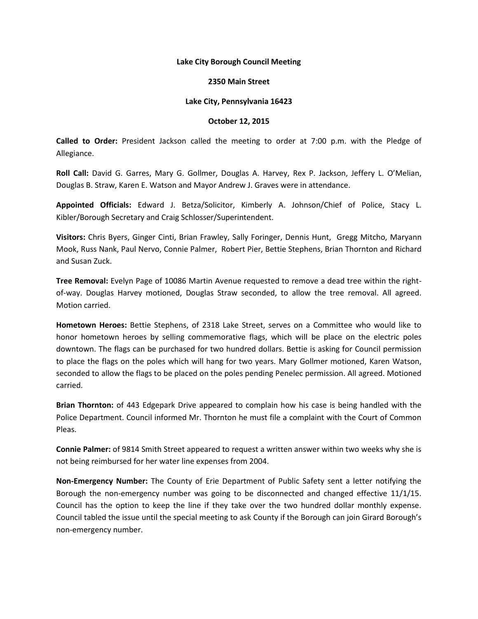## **Lake City Borough Council Meeting**

## **2350 Main Street**

## **Lake City, Pennsylvania 16423**

## **October 12, 2015**

**Called to Order:** President Jackson called the meeting to order at 7:00 p.m. with the Pledge of Allegiance.

**Roll Call:** David G. Garres, Mary G. Gollmer, Douglas A. Harvey, Rex P. Jackson, Jeffery L. O'Melian, Douglas B. Straw, Karen E. Watson and Mayor Andrew J. Graves were in attendance.

**Appointed Officials:** Edward J. Betza/Solicitor, Kimberly A. Johnson/Chief of Police, Stacy L. Kibler/Borough Secretary and Craig Schlosser/Superintendent.

**Visitors:** Chris Byers, Ginger Cinti, Brian Frawley, Sally Foringer, Dennis Hunt, Gregg Mitcho, Maryann Mook, Russ Nank, Paul Nervo, Connie Palmer, Robert Pier, Bettie Stephens, Brian Thornton and Richard and Susan Zuck.

**Tree Removal:** Evelyn Page of 10086 Martin Avenue requested to remove a dead tree within the rightof-way. Douglas Harvey motioned, Douglas Straw seconded, to allow the tree removal. All agreed. Motion carried.

**Hometown Heroes:** Bettie Stephens, of 2318 Lake Street, serves on a Committee who would like to honor hometown heroes by selling commemorative flags, which will be place on the electric poles downtown. The flags can be purchased for two hundred dollars. Bettie is asking for Council permission to place the flags on the poles which will hang for two years. Mary Gollmer motioned, Karen Watson, seconded to allow the flags to be placed on the poles pending Penelec permission. All agreed. Motioned carried.

**Brian Thornton:** of 443 Edgepark Drive appeared to complain how his case is being handled with the Police Department. Council informed Mr. Thornton he must file a complaint with the Court of Common Pleas.

**Connie Palmer:** of 9814 Smith Street appeared to request a written answer within two weeks why she is not being reimbursed for her water line expenses from 2004.

**Non-Emergency Number:** The County of Erie Department of Public Safety sent a letter notifying the Borough the non-emergency number was going to be disconnected and changed effective 11/1/15. Council has the option to keep the line if they take over the two hundred dollar monthly expense. Council tabled the issue until the special meeting to ask County if the Borough can join Girard Borough's non-emergency number.